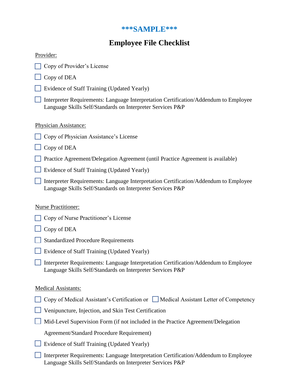# **\*\*\*SAMPLE\*\*\***

# **Employee File Checklist**

## Provider:

- □ Copy of Provider's License
- $\Box$  Copy of DEA
- Evidence of Staff Training (Updated Yearly)
- Interpreter Requirements: Language Interpretation Certification/Addendum to Employee Language Skills Self/Standards on Interpreter Services P&P

### Physician Assistance:

- □ Copy of Physician Assistance's License
- $\Box$  Copy of DEA
- Practice Agreement/Delegation Agreement (until Practice Agreement is available)
- Evidence of Staff Training (Updated Yearly)
- Interpreter Requirements: Language Interpretation Certification/Addendum to Employee Language Skills Self/Standards on Interpreter Services P&P

### Nurse Practitioner:

- □ Copy of Nurse Practitioner's License
- $\Box$  Copy of DEA
- Standardized Procedure Requirements
- Evidence of Staff Training (Updated Yearly)
- Interpreter Requirements: Language Interpretation Certification/Addendum to Employee Language Skills Self/Standards on Interpreter Services P&P

### Medical Assistants:

- $\Box$  Copy of Medical Assistant's Certification or  $\Box$  Medical Assistant Letter of Competency
- Venipuncture, Injection, and Skin Test Certification
- $\Box$  Mid-Level Supervision Form (if not included in the Practice Agreement/Delegation

Agreement/Standard Procedure Requirement)

- Evidence of Staff Training (Updated Yearly)
- Interpreter Requirements: Language Interpretation Certification/Addendum to Employee Language Skills Self/Standards on Interpreter Services P&P